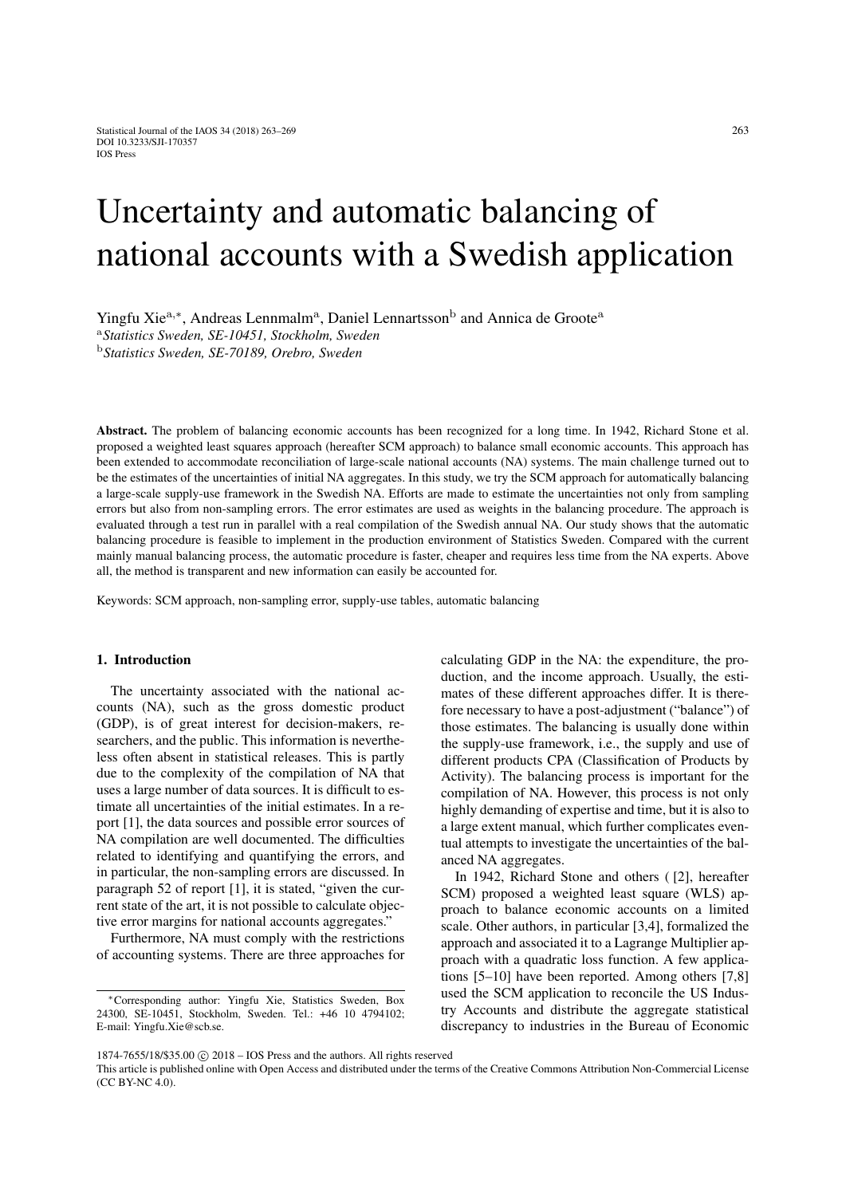# Uncertainty and automatic balancing of national accounts with a Swedish application

Yingfu Xie<sup>a,∗</sup>, Andreas Lennmalm<sup>a</sup>, Daniel Lennartsson<sup>b</sup> and Annica de Groote<sup>a</sup>

<sup>a</sup>*Statistics Sweden, SE-10451, Stockholm, Sweden* <sup>b</sup>*Statistics Sweden, SE-70189, Orebro, Sweden*

Abstract. The problem of balancing economic accounts has been recognized for a long time. In 1942, Richard Stone et al. proposed a weighted least squares approach (hereafter SCM approach) to balance small economic accounts. This approach has been extended to accommodate reconciliation of large-scale national accounts (NA) systems. The main challenge turned out to be the estimates of the uncertainties of initial NA aggregates. In this study, we try the SCM approach for automatically balancing a large-scale supply-use framework in the Swedish NA. Efforts are made to estimate the uncertainties not only from sampling errors but also from non-sampling errors. The error estimates are used as weights in the balancing procedure. The approach is evaluated through a test run in parallel with a real compilation of the Swedish annual NA. Our study shows that the automatic balancing procedure is feasible to implement in the production environment of Statistics Sweden. Compared with the current mainly manual balancing process, the automatic procedure is faster, cheaper and requires less time from the NA experts. Above all, the method is transparent and new information can easily be accounted for.

Keywords: SCM approach, non-sampling error, supply-use tables, automatic balancing

# 1. Introduction

The uncertainty associated with the national accounts (NA), such as the gross domestic product (GDP), is of great interest for decision-makers, researchers, and the public. This information is nevertheless often absent in statistical releases. This is partly due to the complexity of the compilation of NA that uses a large number of data sources. It is difficult to estimate all uncertainties of the initial estimates. In a report [\[1\]](#page-6-0), the data sources and possible error sources of NA compilation are well documented. The difficulties related to identifying and quantifying the errors, and in particular, the non-sampling errors are discussed. In paragraph 52 of report [\[1\]](#page-6-0), it is stated, "given the current state of the art, it is not possible to calculate objective error margins for national accounts aggregates."

Furthermore, NA must comply with the restrictions of accounting systems. There are three approaches for calculating GDP in the NA: the expenditure, the production, and the income approach. Usually, the estimates of these different approaches differ. It is therefore necessary to have a post-adjustment ("balance") of those estimates. The balancing is usually done within the supply-use framework, i.e., the supply and use of different products CPA (Classification of Products by Activity). The balancing process is important for the compilation of NA. However, this process is not only highly demanding of expertise and time, but it is also to a large extent manual, which further complicates eventual attempts to investigate the uncertainties of the balanced NA aggregates.

In 1942, Richard Stone and others ( [\[2\]](#page-6-1), hereafter SCM) proposed a weighted least square (WLS) approach to balance economic accounts on a limited scale. Other authors, in particular [\[3,](#page-6-2)[4\]](#page-6-3), formalized the approach and associated it to a Lagrange Multiplier approach with a quadratic loss function. A few applications [\[5–](#page-6-4)[10\]](#page-6-5) have been reported. Among others [\[7](#page-6-6)[,8\]](#page-6-7) used the SCM application to reconcile the US Industry Accounts and distribute the aggregate statistical discrepancy to industries in the Bureau of Economic

<sup>∗</sup>Corresponding author: Yingfu Xie, Statistics Sweden, Box 24300, SE-10451, Stockholm, Sweden. Tel.: +46 10 4794102; E-mail: Yingfu.Xie@scb.se.

<sup>1874-7655/18/\$35.00 © 2018 -</sup> IOS Press and the authors. All rights reserved

This article is published online with Open Access and distributed under the terms of the Creative Commons Attribution Non-Commercial License (CC BY-NC 4.0).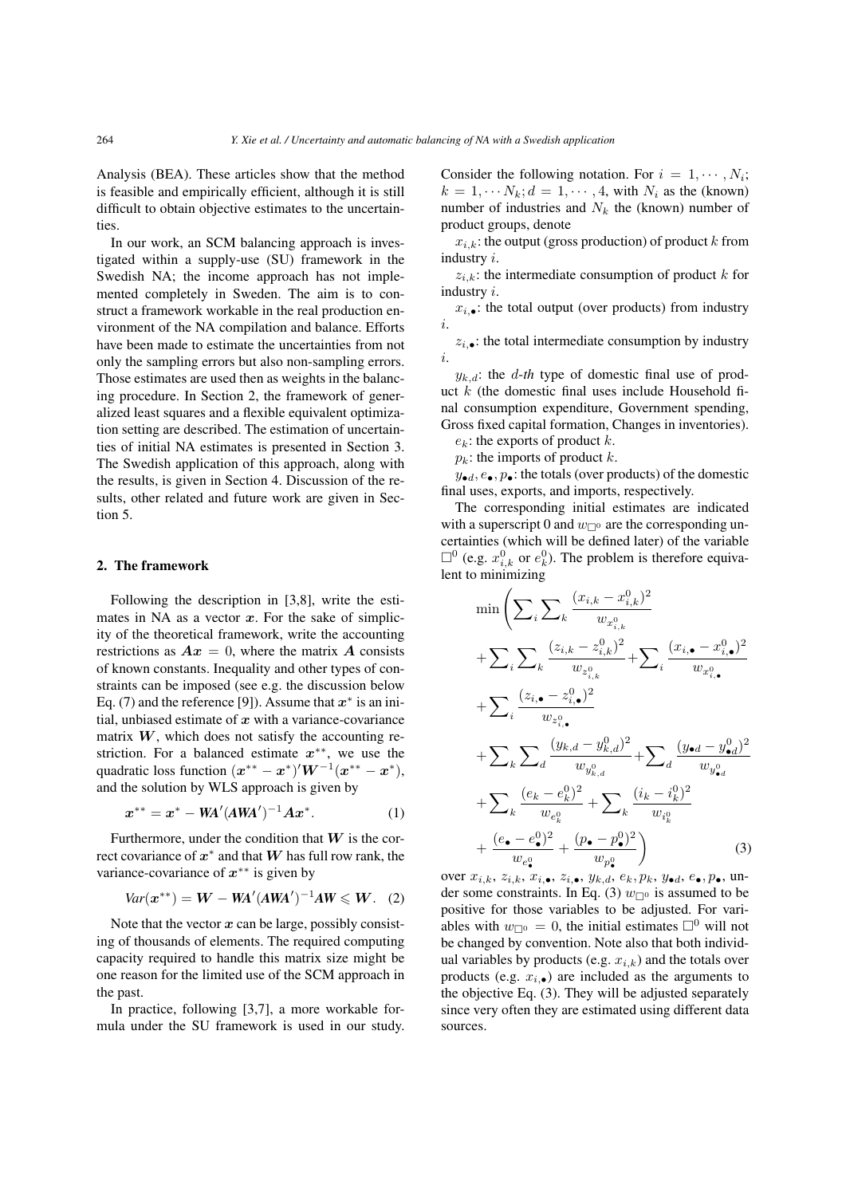Analysis (BEA). These articles show that the method is feasible and empirically efficient, although it is still difficult to obtain objective estimates to the uncertainties.

In our work, an SCM balancing approach is investigated within a supply-use (SU) framework in the Swedish NA; the income approach has not implemented completely in Sweden. The aim is to construct a framework workable in the real production environment of the NA compilation and balance. Efforts have been made to estimate the uncertainties from not only the sampling errors but also non-sampling errors. Those estimates are used then as weights in the balancing procedure. In Section 2, the framework of generalized least squares and a flexible equivalent optimization setting are described. The estimation of uncertainties of initial NA estimates is presented in Section 3. The Swedish application of this approach, along with the results, is given in Section 4. Discussion of the results, other related and future work are given in Section 5.

## 2. The framework

Following the description in [\[3,](#page-6-2)[8\]](#page-6-7), write the estimates in NA as a vector  $x$ . For the sake of simplicity of the theoretical framework, write the accounting restrictions as  $Ax = 0$ , where the matrix A consists of known constants. Inequality and other types of constraints can be imposed (see e.g. the discussion below Eq. [\(7\)](#page-2-0) and the reference [\[9\]](#page-6-8)). Assume that  $x^*$  is an initial, unbiased estimate of  $x$  with a variance-covariance matrix  $W$ , which does not satisfy the accounting restriction. For a balanced estimate  $x^{**}$ , we use the quadratic loss function  $(x^{**}-x^*)'W^{-1}(x^{**}-x^*),$ and the solution by WLS approach is given by

<span id="page-1-1"></span>
$$
x^{**} = x^* - WA'(AWA')^{-1}Ax^*.
$$
 (1)

Furthermore, under the condition that  $W$  is the correct covariance of  $x^*$  and that  $W$  has full row rank, the variance-covariance of  $x^{**}$  is given by

<span id="page-1-2"></span>
$$
Var(\boldsymbol{x}^{**}) = \boldsymbol{W} - \boldsymbol{W}\boldsymbol{A}'(\boldsymbol{A}\boldsymbol{W}\boldsymbol{A}')^{-1}\boldsymbol{A}\boldsymbol{W} \leqslant \boldsymbol{W}.
$$
 (2)

Note that the vector  $x$  can be large, possibly consisting of thousands of elements. The required computing capacity required to handle this matrix size might be one reason for the limited use of the SCM approach in the past.

In practice, following [\[3,](#page-6-2)[7\]](#page-6-6), a more workable formula under the SU framework is used in our study.

Consider the following notation. For  $i = 1, \dots, N_i$ ;  $k = 1, \dots N_k; d = 1, \dots, 4$ , with  $N_i$  as the (known) number of industries and  $N_k$  the (known) number of product groups, denote

 $x_{i,k}$ : the output (gross production) of product k from industry i.

 $z_{i,k}$ : the intermediate consumption of product k for industry i.

 $x_i$ . the total output (over products) from industry i.

 $z_i$ . the total intermediate consumption by industry i.

 $y_{k,d}$ : the *d-th* type of domestic final use of product  $k$  (the domestic final uses include Household final consumption expenditure, Government spending, Gross fixed capital formation, Changes in inventories).

 $e_k$ : the exports of product k.

 $p_k$ : the imports of product k.

 $y_{\bullet d}, e_{\bullet}, p_{\bullet}$ : the totals (over products) of the domestic final uses, exports, and imports, respectively.

The corresponding initial estimates are indicated with a superscript 0 and  $w_{\Box}$  are the corresponding uncertainties (which will be defined later) of the variable  $\square^0$  (e.g.  $x_{i,k}^0$  or  $e_k^0$ ). The problem is therefore equivalent to minimizing

<span id="page-1-0"></span>
$$
\min\left(\sum_{i}\sum_{k}\frac{(x_{i,k}-x_{i,k}^{0})^{2}}{w_{x_{i,k}^{0}}}\right) + \sum_{i}\sum_{k}\frac{(z_{i,k}-z_{i,k}^{0})^{2}}{w_{z_{i,k}^{0}}} + \sum_{i}\frac{(x_{i,\bullet}-x_{i,\bullet}^{0})^{2}}{w_{x_{i,\bullet}^{0}}} + \sum_{i}\frac{(z_{i,\bullet}-z_{i,\bullet}^{0})^{2}}{w_{z_{i,\bullet}^{0}}}\right) + \sum_{k}\sum_{d}\frac{(y_{k,d}-y_{k,d}^{0})^{2}}{w_{y_{k,d}^{0}}} + \sum_{k}\sum_{d}\frac{(y_{\bullet d}-y_{\bullet d}^{0})^{2}}{w_{y_{\bullet}^{0}}} + \sum_{k}\frac{(e_{k}-e_{k}^{0})^{2}}{w_{e_{k}^{0}}} + \sum_{k}\frac{(i_{k}-i_{k}^{0})^{2}}{w_{i_{k}^{0}}}\right) + \frac{(e_{\bullet}-e_{\bullet}^{0})^{2}}{w_{e_{\bullet}^{0}}} + \frac{(p_{\bullet}-p_{\bullet}^{0})^{2}}{w_{p_{\bullet}^{0}}}\right) \tag{3}
$$

over  $x_{i,k}, z_{i,k}, x_{i,\bullet}, z_{i,\bullet}, y_{k,d}, e_k, p_k, y_{\bullet d}, e_{\bullet}, p_{\bullet}, \text{un-}$ der some constraints. In Eq. [\(3\)](#page-1-0)  $w_{\Box}$  is assumed to be positive for those variables to be adjusted. For variables with  $w_{\Box^0} = 0$ , the initial estimates  $\Box^0$  will not be changed by convention. Note also that both individual variables by products (e.g.  $x_{i,k}$ ) and the totals over products (e.g.  $x_{i,\bullet}$ ) are included as the arguments to the objective Eq. [\(3\)](#page-1-0). They will be adjusted separately since very often they are estimated using different data sources.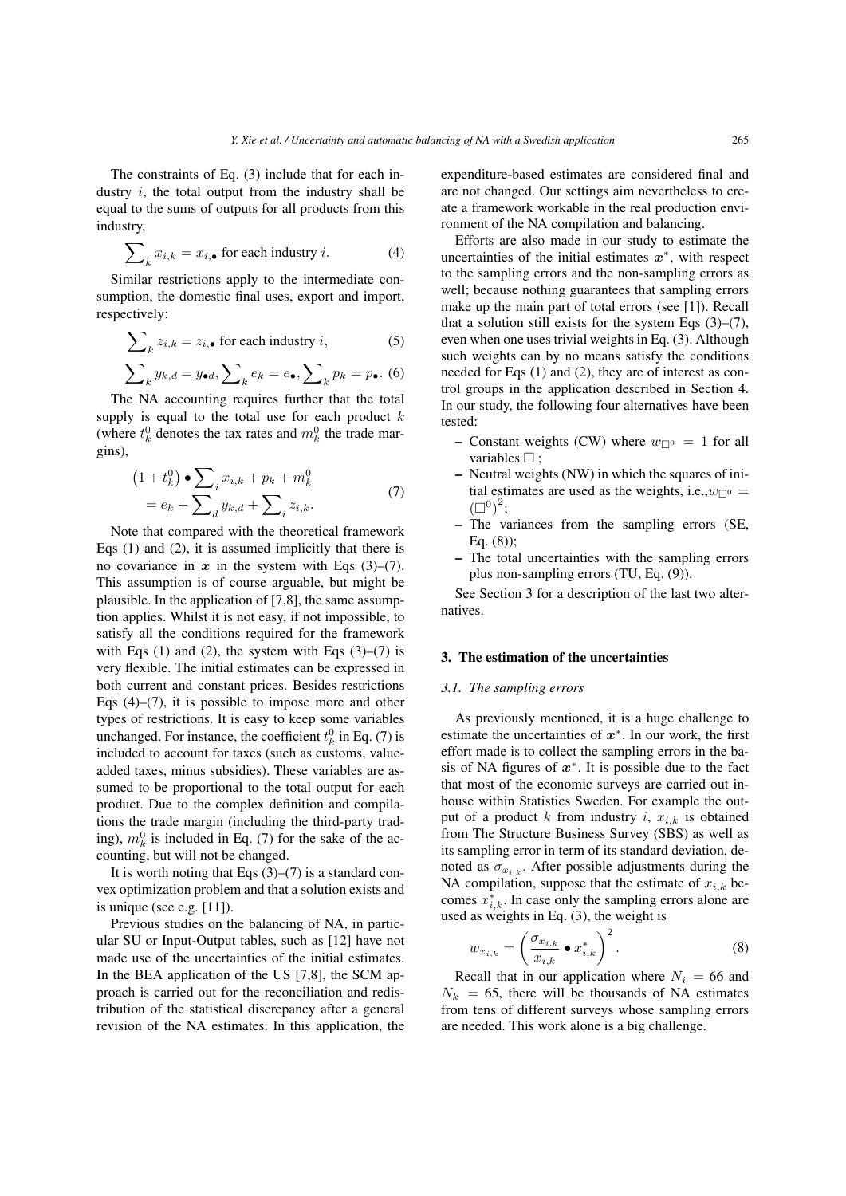The constraints of Eq. [\(3\)](#page-1-0) include that for each industry  $i$ , the total output from the industry shall be equal to the sums of outputs for all products from this industry,

<span id="page-2-1"></span>
$$
\sum_{k} x_{i,k} = x_{i,\bullet} \text{ for each industry } i. \tag{4}
$$

Similar restrictions apply to the intermediate consumption, the domestic final uses, export and import, respectively:

$$
\sum_{k} z_{i,k} = z_{i,\bullet} \text{ for each industry } i,
$$
 (5)

$$
\sum_{k} y_{k,d} = y_{\bullet d}, \sum_{k} e_k = e_{\bullet}, \sum_{k} p_k = p_{\bullet}. (6)
$$

The NA accounting requires further that the total supply is equal to the total use for each product  $k$ (where  $t_k^0$  denotes the tax rates and  $m_k^0$  the trade margins),

<span id="page-2-0"></span>
$$
(1 + t_k^0) \bullet \sum_i x_{i,k} + p_k + m_k^0
$$
  
=  $e_k + \sum_d y_{k,d} + \sum_i z_{i,k}.$  (7)

Note that compared with the theoretical framework Eqs [\(1\)](#page-1-1) and [\(2\)](#page-1-2), it is assumed implicitly that there is no covariance in  $x$  in the system with Eqs [\(3\)](#page-1-0)–[\(7\)](#page-2-0). This assumption is of course arguable, but might be plausible. In the application of [\[7,](#page-6-6)[8\]](#page-6-7), the same assumption applies. Whilst it is not easy, if not impossible, to satisfy all the conditions required for the framework with Eqs  $(1)$  and  $(2)$ , the system with Eqs  $(3)$ – $(7)$  is very flexible. The initial estimates can be expressed in both current and constant prices. Besides restrictions Eqs  $(4)$ – $(7)$ , it is possible to impose more and other types of restrictions. It is easy to keep some variables unchanged. For instance, the coefficient  $t_k^0$  in Eq. [\(7\)](#page-2-0) is included to account for taxes (such as customs, valueadded taxes, minus subsidies). These variables are assumed to be proportional to the total output for each product. Due to the complex definition and compilations the trade margin (including the third-party trading),  $m_k^0$  is included in Eq. [\(7\)](#page-2-0) for the sake of the accounting, but will not be changed.

It is worth noting that Eqs  $(3)$ – $(7)$  is a standard convex optimization problem and that a solution exists and is unique (see e.g. [\[11\]](#page-6-9)).

Previous studies on the balancing of NA, in particular SU or Input-Output tables, such as [\[12\]](#page-6-10) have not made use of the uncertainties of the initial estimates. In the BEA application of the US [\[7,](#page-6-6)[8\]](#page-6-7), the SCM approach is carried out for the reconciliation and redistribution of the statistical discrepancy after a general revision of the NA estimates. In this application, the expenditure-based estimates are considered final and are not changed. Our settings aim nevertheless to create a framework workable in the real production environment of the NA compilation and balancing.

Efforts are also made in our study to estimate the uncertainties of the initial estimates  $x^*$ , with respect to the sampling errors and the non-sampling errors as well; because nothing guarantees that sampling errors make up the main part of total errors (see [\[1\]](#page-6-0)). Recall that a solution still exists for the system Eqs  $(3)$ – $(7)$ , even when one uses trivial weights in Eq. [\(3\)](#page-1-0). Although such weights can by no means satisfy the conditions needed for Eqs [\(1\)](#page-1-1) and [\(2\)](#page-1-2), they are of interest as control groups in the application described in Section 4. In our study, the following four alternatives have been tested:

- Constant weights (CW) where  $w_{\Box^0} = 1$  for all variables  $\square$ ;
- Neutral weights (NW) in which the squares of initial estimates are used as the weights, i.e., $w_{\Box}$ <sup>0</sup> =  ${(\Box^0)}^2;$
- The variances from the sampling errors (SE, Eq.  $(8)$ ;
- The total uncertainties with the sampling errors plus non-sampling errors (TU, Eq. [\(9\)](#page-3-0)).

See Section 3 for a description of the last two alternatives.

## 3. The estimation of the uncertainties

#### *3.1. The sampling errors*

As previously mentioned, it is a huge challenge to estimate the uncertainties of  $x^*$ . In our work, the first effort made is to collect the sampling errors in the basis of NA figures of  $x^*$ . It is possible due to the fact that most of the economic surveys are carried out inhouse within Statistics Sweden. For example the output of a product k from industry i,  $x_{i,k}$  is obtained from The Structure Business Survey (SBS) as well as its sampling error in term of its standard deviation, denoted as  $\sigma_{x_{i,k}}$ . After possible adjustments during the NA compilation, suppose that the estimate of  $x_{i,k}$  becomes  $x_{i,k}^*$ . In case only the sampling errors alone are used as weights in Eq. [\(3\)](#page-1-0), the weight is

<span id="page-2-2"></span>
$$
w_{x_{i,k}} = \left(\frac{\sigma_{x_{i,k}}}{x_{i,k}} \bullet x_{i,k}^*\right)^2.
$$
 (8)

Recall that in our application where  $N_i = 66$  and  $N_k = 65$ , there will be thousands of NA estimates from tens of different surveys whose sampling errors are needed. This work alone is a big challenge.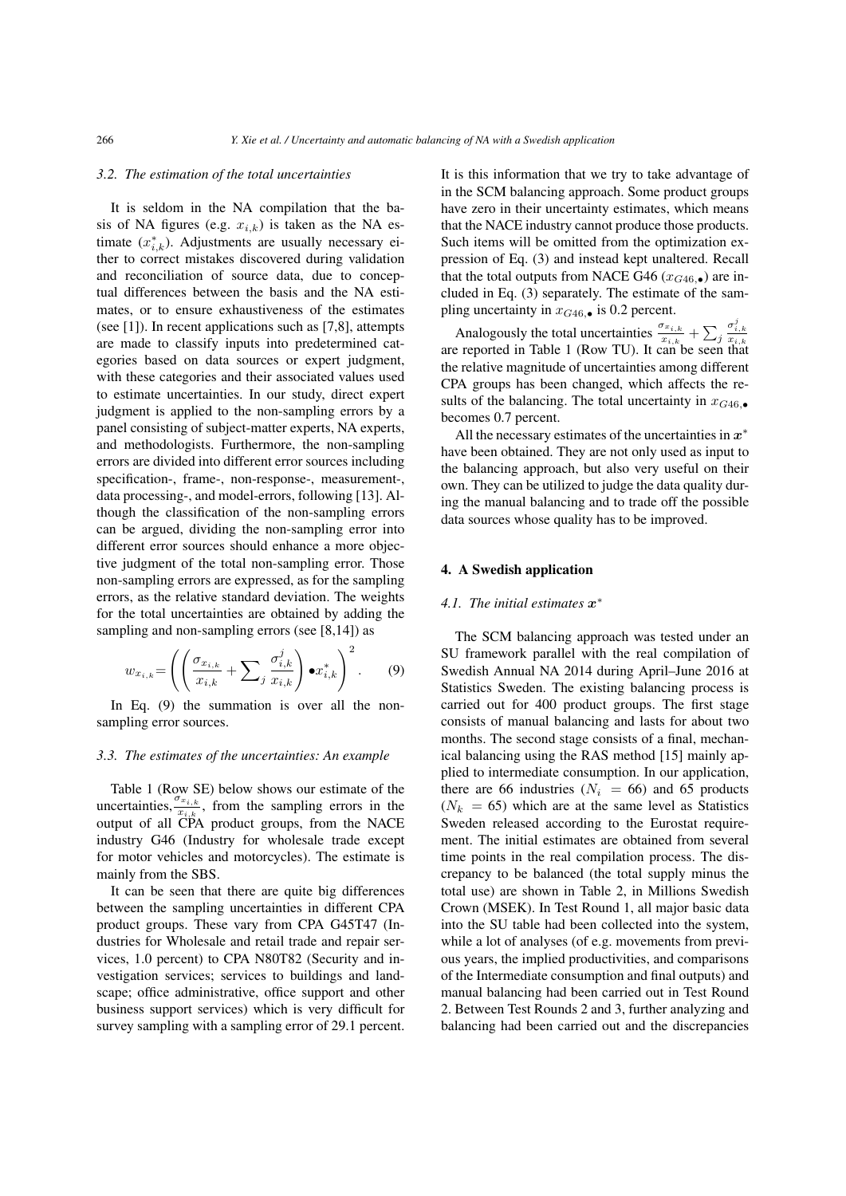#### *3.2. The estimation of the total uncertainties*

It is seldom in the NA compilation that the basis of NA figures (e.g.  $x_{i,k}$ ) is taken as the NA estimate  $(x_{i,k}^*)$ . Adjustments are usually necessary either to correct mistakes discovered during validation and reconciliation of source data, due to conceptual differences between the basis and the NA estimates, or to ensure exhaustiveness of the estimates (see [\[1\]](#page-6-0)). In recent applications such as [\[7,](#page-6-6)[8\]](#page-6-7), attempts are made to classify inputs into predetermined categories based on data sources or expert judgment, with these categories and their associated values used to estimate uncertainties. In our study, direct expert judgment is applied to the non-sampling errors by a panel consisting of subject-matter experts, NA experts, and methodologists. Furthermore, the non-sampling errors are divided into different error sources including specification-, frame-, non-response-, measurement-, data processing-, and model-errors, following [\[13\]](#page-6-11). Although the classification of the non-sampling errors can be argued, dividing the non-sampling error into different error sources should enhance a more objective judgment of the total non-sampling error. Those non-sampling errors are expressed, as for the sampling errors, as the relative standard deviation. The weights for the total uncertainties are obtained by adding the sampling and non-sampling errors (see [\[8](#page-6-7)[,14\]](#page-6-12)) as

<span id="page-3-0"></span>
$$
w_{x_{i,k}} = \left( \left( \frac{\sigma_{x_{i,k}}}{x_{i,k}} + \sum_j \frac{\sigma_{i,k}^j}{x_{i,k}} \right) \bullet x_{i,k}^* \right)^2.
$$
 (9)

In Eq. [\(9\)](#page-3-0) the summation is over all the nonsampling error sources.

## *3.3. The estimates of the uncertainties: An example*

Table [1](#page-4-0) (Row SE) below shows our estimate of the uncertainties,  $\frac{\sigma_{x_{i,k}}}{\sigma_{x_{i,k}}}$ , from the sampling errors in the output of all  $\overline{CP}A$  product groups, from the NACE industry G46 (Industry for wholesale trade except for motor vehicles and motorcycles). The estimate is mainly from the SBS.

It can be seen that there are quite big differences between the sampling uncertainties in different CPA product groups. These vary from CPA G45T47 (Industries for Wholesale and retail trade and repair services, 1.0 percent) to CPA N80T82 (Security and investigation services; services to buildings and landscape; office administrative, office support and other business support services) which is very difficult for survey sampling with a sampling error of 29.1 percent. It is this information that we try to take advantage of in the SCM balancing approach. Some product groups have zero in their uncertainty estimates, which means that the NACE industry cannot produce those products. Such items will be omitted from the optimization expression of Eq. [\(3\)](#page-1-0) and instead kept unaltered. Recall that the total outputs from NACE G46 ( $x_{G46,\bullet}$ ) are included in Eq. [\(3\)](#page-1-0) separately. The estimate of the sampling uncertainty in  $x_{G46}$ , is 0.2 percent.

Analogously the total uncertainties  $\frac{\sigma_{x_{i,k}}}{x_{i,k}} + \sum_j$ Analogously the total uncertainties  $\frac{\sigma_{x_{i,k}}}{x_{i,k}} + \sum_j \frac{\sigma_{i,k}^j}{x_{i,k}}$  are reported in Table [1](#page-4-0) (Row TU). It can be seen that the relative magnitude of uncertainties among different CPA groups has been changed, which affects the results of the balancing. The total uncertainty in  $x_{G46}$ . becomes 0.7 percent.

All the necessary estimates of the uncertainties in  $x^*$ have been obtained. They are not only used as input to the balancing approach, but also very useful on their own. They can be utilized to judge the data quality during the manual balancing and to trade off the possible data sources whose quality has to be improved.

## 4. A Swedish application

# *4.1. The initial estimates* x ∗

The SCM balancing approach was tested under an SU framework parallel with the real compilation of Swedish Annual NA 2014 during April–June 2016 at Statistics Sweden. The existing balancing process is carried out for 400 product groups. The first stage consists of manual balancing and lasts for about two months. The second stage consists of a final, mechanical balancing using the RAS method [\[15\]](#page-6-13) mainly applied to intermediate consumption. In our application, there are 66 industries ( $N_i$  = 66) and 65 products  $(N_k = 65)$  which are at the same level as Statistics Sweden released according to the Eurostat requirement. The initial estimates are obtained from several time points in the real compilation process. The discrepancy to be balanced (the total supply minus the total use) are shown in Table [2,](#page-4-1) in Millions Swedish Crown (MSEK). In Test Round 1, all major basic data into the SU table had been collected into the system, while a lot of analyses (of e.g. movements from previous years, the implied productivities, and comparisons of the Intermediate consumption and final outputs) and manual balancing had been carried out in Test Round 2. Between Test Rounds 2 and 3, further analyzing and balancing had been carried out and the discrepancies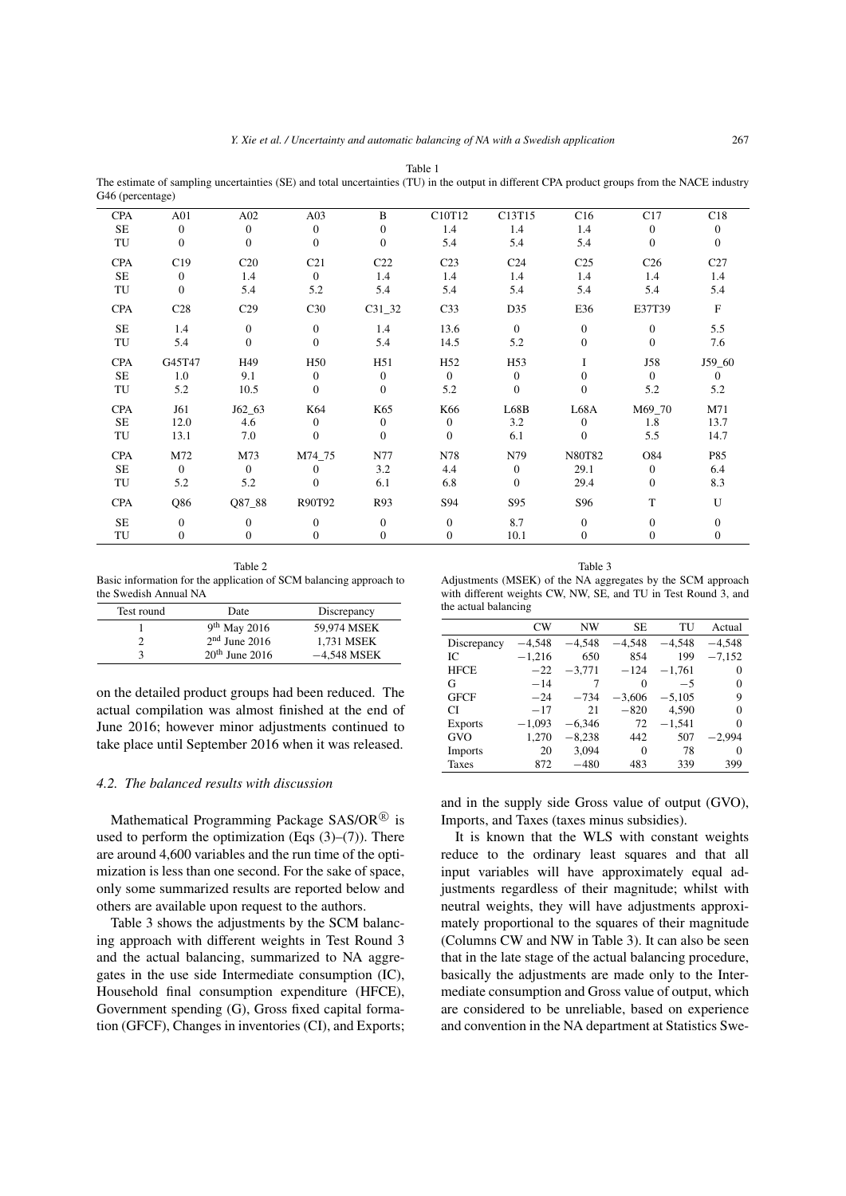G46 (percentage) CPA A01 A02 A03 B C10T12 C13T15 C16 C17 C18 SE 0 0 0 0 1.4 1.4 1.4 0 0 TU 0 0 0 0 5.4 5.4 5.4 0 0 CPA C19 C20 C21 C22 C23 C24 C25 C26 C27 SE 0 1.4 0 1.4 1.4 1.4 1.4 1.4 1.4 TU 0 5.4 5.2 5.4 5.4 5.4 5.4 5.4 5.4 CPA C28 C29 C30 C31\_32 C33 D35 E36 E37T39 F SE 1.4 0 0 1.4 13.6 0 0 0 5.5 TU 5.4 0 0 5.4 14.5 5.2 0 0 7.6 CPA G45T47 H49 H50 H51 H52 H53 I J58 J59\_60 SE 1.0 9.1 0 0 0 0 0 0 0 TU 5.2 10.5 0 0 5.2 0 0 5.2 5.2 CPA J61 J62\_63 K64 K65 K66 L68B L68A M69\_70 M71 SE 12.0 4.6 0 0 0 3.2 0 1.8 13.7 TU 13.1 7.0 0 0 0 6.1 0 5.5 14.7 CPA M72 M73 M74\_75 N77 N78 N79 N80T82 O84 P85 SE 0 0 0 3.2 4.4 0 29.1 0 6.4 TU 5.2 5.2 0 6.1 6.8 0 29.4 0 8.3 CPA Q86 Q87\_88 R90T92 R93 S94 S95 S96 T U SE 0 0 0 0 0 0 8.7 0 0 0 TU 0 0 0 0 0 0 10.1 0 0 0

Table 1

<span id="page-4-0"></span>The estimate of sampling uncertainties (SE) and total uncertainties (TU) in the output in different CPA product groups from the NACE industry

Table 2

<span id="page-4-1"></span>Basic information for the application of SCM balancing approach to the Swedish Annual NA

| Test round | Date             | Discrepancy   |
|------------|------------------|---------------|
|            | $9th$ May 2016   | 59.974 MSEK   |
|            | $2nd$ June 2016  | 1,731 MSEK    |
|            | $20th$ June 2016 | $-4.548$ MSEK |

on the detailed product groups had been reduced. The actual compilation was almost finished at the end of June 2016; however minor adjustments continued to take place until September 2016 when it was released.

## *4.2. The balanced results with discussion*

Mathematical Programming Package SAS/OR<sup>®</sup> is used to perform the optimization (Eqs  $(3)$ – $(7)$ ). There are around 4,600 variables and the run time of the optimization is less than one second. For the sake of space, only some summarized results are reported below and others are available upon request to the authors.

Table [3](#page-4-2) shows the adjustments by the SCM balancing approach with different weights in Test Round 3 and the actual balancing, summarized to NA aggregates in the use side Intermediate consumption (IC), Household final consumption expenditure (HFCE), Government spending (G), Gross fixed capital formation (GFCF), Changes in inventories (CI), and Exports;

Table 3

<span id="page-4-2"></span>Adjustments (MSEK) of the NA aggregates by the SCM approach with different weights CW, NW, SE, and TU in Test Round 3, and the actual balancing

|                | $_{\rm CW}$ | <b>NW</b> | SE.      | TU       | Actual   |
|----------------|-------------|-----------|----------|----------|----------|
| Discrepancy    | -4.548      | $-4,548$  | $-4,548$ | $-4,548$ | $-4.548$ |
| IС             | $-1,216$    | 650       | 854      | 199      | $-7,152$ |
| <b>HFCE</b>    | $-22$       | $-3.771$  | $-124$   | $-1.761$ | 0        |
| G              | $-14$       | 7         | $\Omega$ | $-5$     | 0        |
| <b>GFCF</b>    | $-24$       | $-734$    | $-3,606$ | $-5.105$ | 9        |
| CI             | $-17$       | 21        | $-820$   | 4.590    | 0        |
| <b>Exports</b> | $-1,093$    | $-6.346$  | 72       | $-1.541$ | 0        |
| GVO            | 1.270       | $-8,238$  | 442      | 507      | $-2,994$ |
| <b>Imports</b> | 20          | 3.094     | $\Omega$ | 78       | 0        |
| Taxes          | 872         | $-480$    | 483      | 339      | 399      |

and in the supply side Gross value of output (GVO), Imports, and Taxes (taxes minus subsidies).

It is known that the WLS with constant weights reduce to the ordinary least squares and that all input variables will have approximately equal adjustments regardless of their magnitude; whilst with neutral weights, they will have adjustments approximately proportional to the squares of their magnitude (Columns CW and NW in Table [3\)](#page-4-2). It can also be seen that in the late stage of the actual balancing procedure, basically the adjustments are made only to the Intermediate consumption and Gross value of output, which are considered to be unreliable, based on experience and convention in the NA department at Statistics Swe-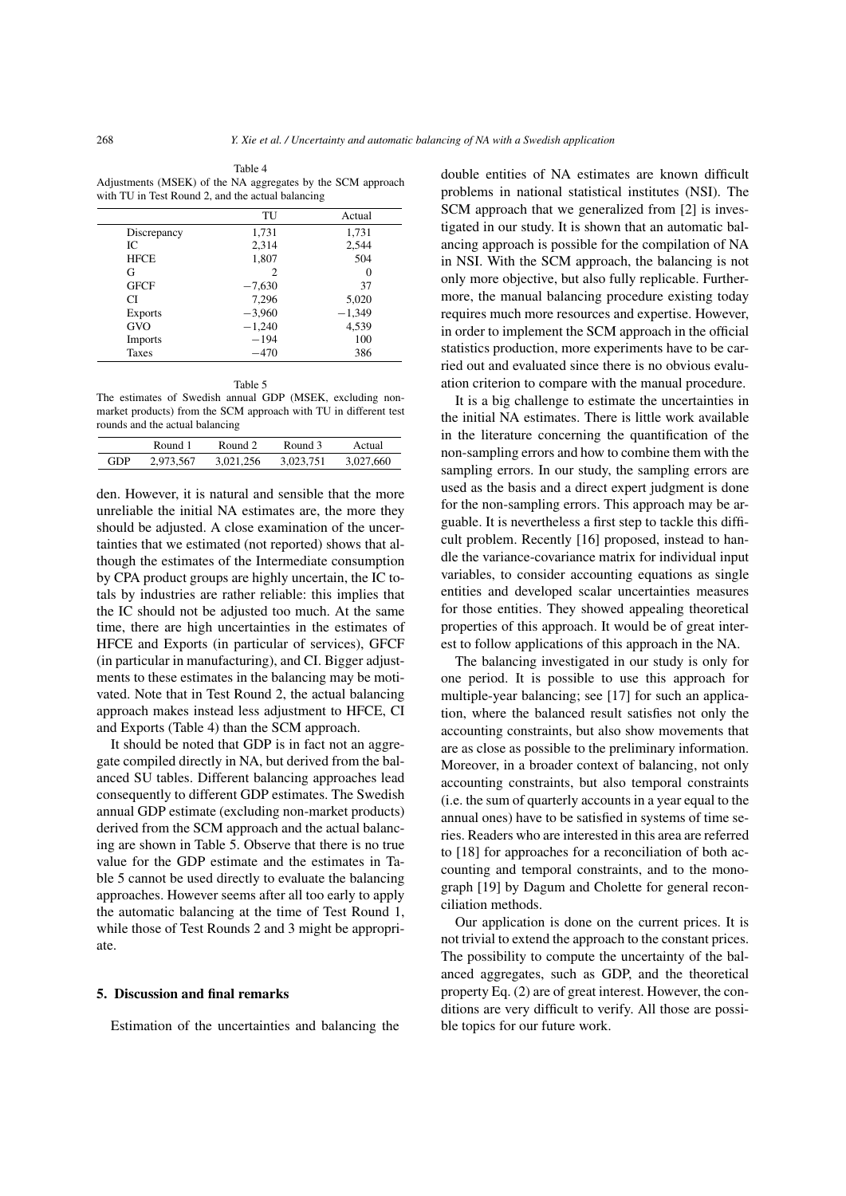<span id="page-5-0"></span>Table 4 Adjustments (MSEK) of the NA aggregates by the SCM approach with TU in Test Round 2, and the actual balancing

|                | TU       | Actual   |
|----------------|----------|----------|
| Discrepancy    | 1,731    | 1,731    |
| IС             | 2,314    | 2,544    |
| <b>HFCE</b>    | 1,807    | 504      |
| G              | 2        | 0        |
| <b>GFCF</b>    | $-7,630$ | 37       |
| CI             | 7,296    | 5,020    |
| <b>Exports</b> | $-3,960$ | $-1,349$ |
| GVO            | $-1,240$ | 4,539    |
| <b>Imports</b> | $-194$   | 100      |
| <b>Taxes</b>   | $-470$   | 386      |

| <br>۰.<br>۰.<br>× |  |
|-------------------|--|
|                   |  |

<span id="page-5-1"></span>The estimates of Swedish annual GDP (MSEK, excluding nonmarket products) from the SCM approach with TU in different test rounds and the actual balancing

|     | Round 1   | Round 2   | Round 3   | Actual    |
|-----|-----------|-----------|-----------|-----------|
| GDP | 2.973.567 | 3,021,256 | 3.023.751 | 3,027,660 |

den. However, it is natural and sensible that the more unreliable the initial NA estimates are, the more they should be adjusted. A close examination of the uncertainties that we estimated (not reported) shows that although the estimates of the Intermediate consumption by CPA product groups are highly uncertain, the IC totals by industries are rather reliable: this implies that the IC should not be adjusted too much. At the same time, there are high uncertainties in the estimates of HFCE and Exports (in particular of services), GFCF (in particular in manufacturing), and CI. Bigger adjustments to these estimates in the balancing may be motivated. Note that in Test Round 2, the actual balancing approach makes instead less adjustment to HFCE, CI and Exports (Table [4\)](#page-5-0) than the SCM approach.

It should be noted that GDP is in fact not an aggregate compiled directly in NA, but derived from the balanced SU tables. Different balancing approaches lead consequently to different GDP estimates. The Swedish annual GDP estimate (excluding non-market products) derived from the SCM approach and the actual balancing are shown in Table [5.](#page-5-1) Observe that there is no true value for the GDP estimate and the estimates in Table [5](#page-5-1) cannot be used directly to evaluate the balancing approaches. However seems after all too early to apply the automatic balancing at the time of Test Round 1, while those of Test Rounds 2 and 3 might be appropriate.

## 5. Discussion and final remarks

Estimation of the uncertainties and balancing the

double entities of NA estimates are known difficult problems in national statistical institutes (NSI). The SCM approach that we generalized from [\[2\]](#page-6-1) is investigated in our study. It is shown that an automatic balancing approach is possible for the compilation of NA in NSI. With the SCM approach, the balancing is not only more objective, but also fully replicable. Furthermore, the manual balancing procedure existing today requires much more resources and expertise. However, in order to implement the SCM approach in the official statistics production, more experiments have to be carried out and evaluated since there is no obvious evaluation criterion to compare with the manual procedure.

It is a big challenge to estimate the uncertainties in the initial NA estimates. There is little work available in the literature concerning the quantification of the non-sampling errors and how to combine them with the sampling errors. In our study, the sampling errors are used as the basis and a direct expert judgment is done for the non-sampling errors. This approach may be arguable. It is nevertheless a first step to tackle this difficult problem. Recently [\[16\]](#page-6-14) proposed, instead to handle the variance-covariance matrix for individual input variables, to consider accounting equations as single entities and developed scalar uncertainties measures for those entities. They showed appealing theoretical properties of this approach. It would be of great interest to follow applications of this approach in the NA.

The balancing investigated in our study is only for one period. It is possible to use this approach for multiple-year balancing; see [\[17\]](#page-6-15) for such an application, where the balanced result satisfies not only the accounting constraints, but also show movements that are as close as possible to the preliminary information. Moreover, in a broader context of balancing, not only accounting constraints, but also temporal constraints (i.e. the sum of quarterly accounts in a year equal to the annual ones) have to be satisfied in systems of time series. Readers who are interested in this area are referred to [\[18\]](#page-6-16) for approaches for a reconciliation of both accounting and temporal constraints, and to the monograph [\[19\]](#page-6-17) by Dagum and Cholette for general reconciliation methods.

Our application is done on the current prices. It is not trivial to extend the approach to the constant prices. The possibility to compute the uncertainty of the balanced aggregates, such as GDP, and the theoretical property Eq. [\(2\)](#page-1-2) are of great interest. However, the conditions are very difficult to verify. All those are possible topics for our future work.